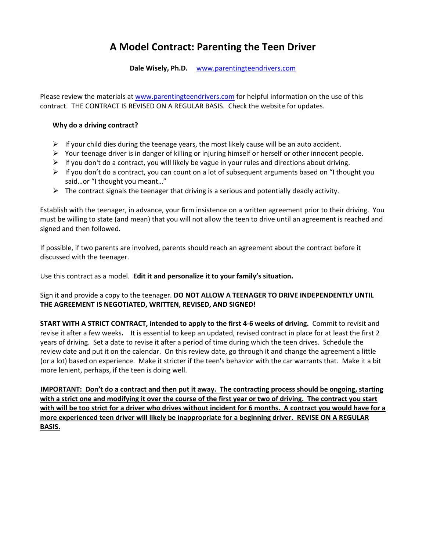# **A Model Contract: Parenting the Teen Driver**

**Dale Wisely, Ph.D.**  [www.parentingteendrivers.com](http://www.parentingteendrivers.com/)

Please review the materials at [www.parentingteendrivers.com](http://www.parentingteendrivers.com/) for helpful information on the use of this contract. THE CONTRACT IS REVISED ON A REGULAR BASIS. Check the website for updates.

## **Why do a driving contract?**

- $\triangleright$  If your child dies during the teenage years, the most likely cause will be an auto accident.
- $\triangleright$  Your teenage driver is in danger of killing or injuring himself or herself or other innocent people.
- $\triangleright$  If you don't do a contract, you will likely be vague in your rules and directions about driving.
- $\triangleright$  If you don't do a contract, you can count on a lot of subsequent arguments based on "I thought you said…or "I thought you meant…"
- $\triangleright$  The contract signals the teenager that driving is a serious and potentially deadly activity.

Establish with the teenager, in advance, your firm insistence on a written agreement prior to their driving. You must be willing to state (and mean) that you will not allow the teen to drive until an agreement is reached and signed and then followed.

If possible, if two parents are involved, parents should reach an agreement about the contract before it discussed with the teenager.

Use this contract as a model. **Edit it and personalize it to your family's situation.**

Sign it and provide a copy to the teenager. **DO NOT ALLOW A TEENAGER TO DRIVE INDEPENDENTLY UNTIL THE AGREEMENT IS NEGOTIATED, WRITTEN, REVISED, AND SIGNED!** 

START WITH A STRICT CONTRACT, intended to apply to the first 4-6 weeks of driving. Commit to revisit and revise it after a few weeks**.** It is essential to keep an updated, revised contract in place for at least the first 2 years of driving. Set a date to revise it after a period of time during which the teen drives. Schedule the review date and put it on the calendar. On this review date, go through it and change the agreement a little (or a lot) based on experience. Make it stricter if the teen's behavior with the car warrants that. Make it a bit more lenient, perhaps, if the teen is doing well.

**IMPORTANT:** Don't do a contract and then put it away. The contracting process should be ongoing, starting with a strict one and modifying it over the course of the first year or two of driving. The contract you start with will be too strict for a driver who drives without incident for 6 months. A contract you would have for a **more experienced teen driver will likely be inappropriate for a beginning driver. REVISE ON A REGULAR BASIS.**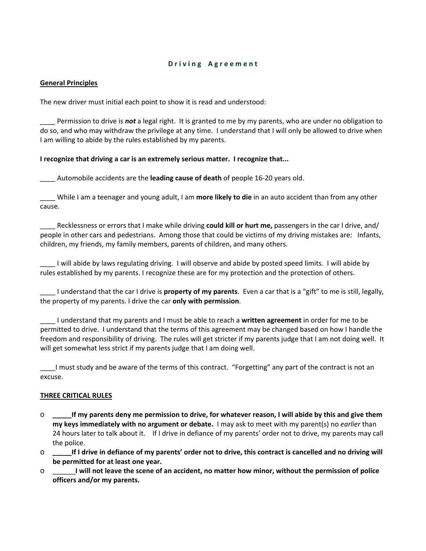## **D r i v i n g A g r e e m e n t**

#### **General Principles**

The new driver must initial each point to show it is read and understood:

\_\_\_\_ Permission to drive is *not* a legal right. It is granted to me by my parents, who are under no obligation to do so, and who may withdraw the privilege at any time. I understand that I will only be allowed to drive when I am willing to abide by the rules established by my parents.

#### **I recognize that driving a car is an extremely serious matter. I recognize that...**

\_\_\_\_ Automobile accidents are the **leading cause of death** of people 16‐20 years old.

\_\_\_\_ While I am a teenager and young adult, I am **more likely to die** in an auto accident than from any other cause.

\_\_\_\_ Recklessness or errors that I make while driving **could kill or hurt me,** passengers in the car I drive, and/ people in other cars and pedestrians. Among those that could be victims of my driving mistakes are: Infants, children, my friends, my family members, parents of children, and many others.

\_\_\_\_ I will abide by laws regulating driving. I will observe and abide by posted speed limits. I will abide by rules established by my parents. I recognize these are for my protection and the protection of others.

\_\_\_\_ I understand that the car I drive is **property of my parents**. Even a car that is a "gift" to me is still, legally, the property of my parents. I drive the car **only with permission**.

\_\_\_\_ I understand that my parents and I must be able to reach a **written agreement** in order for me to be permitted to drive. I understand that the terms of this agreement may be changed based on how I handle the freedom and responsibility of driving. The rules will get stricter if my parents judge that I am not doing well. It will get somewhat less strict if my parents judge that I am doing well.

\_\_\_\_I must study and be aware of the terms of this contract. "Forgetting" any part of the contract is not an excuse.

## **THREE CRITICAL RULES**

- $\circ$  \_\_\_\_\_\_\_If my parents deny me permission to drive, for whatever reason, I will abide by this and give them **my keys immediately with no argument or debate.** I may ask to meet with my parent(s) no *earlier* than 24 hours later to talk about it. If I drive in defiance of my parents' order not to drive, my parents may call the police.
- o \_\_\_\_\_\_If I drive in defiance of my parents' order not to drive, this contract is cancelled and no driving will **be permitted for at least one year.**
- o 1 will not leave the scene of an accident, no matter how minor, without the permission of police **officers and/or my parents.**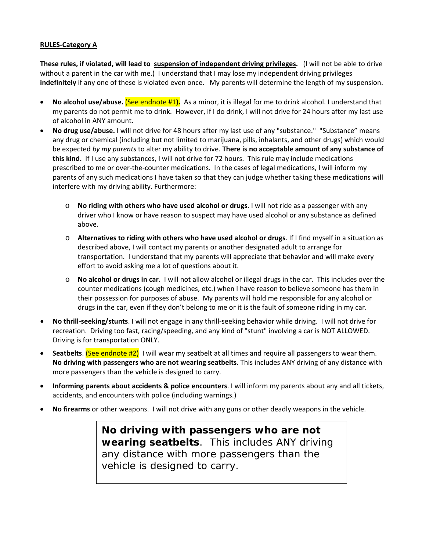## **RULES‐Category A**

**These rules, if violated, will lead to suspension of independent driving privileges.** (I will not be able to drive without a parent in the car with me.) I understand that I may lose my independent driving privileges **indefinitely** if any one of these is violated even once. My parents will determine the length of my suspension.

- **No alcohol use/abuse.** (See endnote #1**).** As a minor, it is illegal for me to drink alcohol. I understand that my parents do not permit me to drink. However, if I do drink, I will not drive for 24 hours after my last use of alcohol in ANY amount.
- **No drug use/abuse.** I will not drive for 48 hours after my last use of any "substance." "Substance" means any drug or chemical (including but not limited to marijuana, pills, inhalants, and other drugs) which would be expected *by my parents* to alter my ability to drive. **There is no acceptable amount of any substance of this kind.** If I use any substances, I will not drive for 72 hours. This rule may include medications prescribed to me or over-the-counter medications. In the cases of legal medications, I will inform my parents of any such medications I have taken so that they can judge whether taking these medications will interfere with my driving ability. Furthermore:
	- o **No riding with others who have used alcohol or drugs**. I will not ride as a passenger with any driver who I know or have reason to suspect may have used alcohol or any substance as defined above.
	- o **Alternatives to riding with others who have used alcohol or drugs**. If I find myself in a situation as described above, I will contact my parents or another designated adult to arrange for transportation. I understand that my parents will appreciate that behavior and will make every effort to avoid asking me a lot of questions about it.
	- o **No alcohol or drugs in car**. I will not allow alcohol or illegal drugs in the car. This includes over the counter medications (cough medicines, etc.) when I have reason to believe someone has them in their possession for purposes of abuse. My parents will hold me responsible for any alcohol or drugs in the car, even if they don't belong to me or it is the fault of someone riding in my car.
- **No thrill‐seeking/stunts**. I will not engage in any thrill‐seeking behavior while driving. I will not drive for recreation. Driving too fast, racing/speeding, and any kind of "stunt" involving a car is NOT ALLOWED. Driving is for transportation ONLY.
- **Seatbelts**. (See endnote #2) I will wear my seatbelt at all times and require all passengers to wear them. **No driving with passengers who are not wearing seatbelts**. This includes ANY driving of any distance with more passengers than the vehicle is designed to carry.
- **Informing parents about accidents & police encounters**. I will inform my parents about any and all tickets, accidents, and encounters with police (including warnings.)
- **No firearms** or other weapons. I will not drive with any guns or other deadly weapons in the vehicle.

**No driving with passengers who are not wearing seatbelts**. This includes ANY driving any distance with more passengers than the vehicle is designed to carry.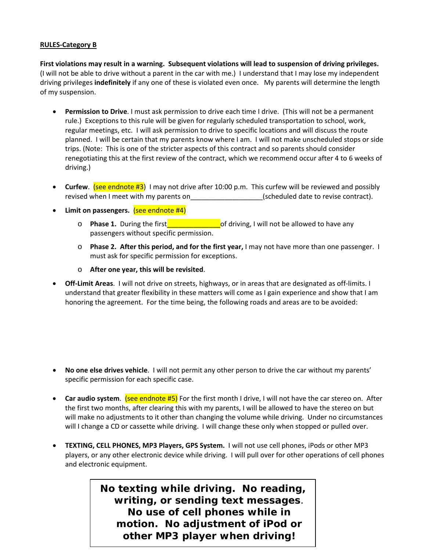## **RULES‐Category B**

First violations may result in a warning. Subsequent violations will lead to suspension of driving privileges. (I will not be able to drive without a parent in the car with me.) I understand that I may lose my independent driving privileges **indefinitely** if any one of these is violated even once. My parents will determine the length of my suspension.

- **Permission to Drive**. I must ask permission to drive each time I drive. (This will not be a permanent rule.) Exceptions to this rule will be given for regularly scheduled transportation to school, work, regular meetings, etc. I will ask permission to drive to specific locations and will discuss the route planned. I will be certain that my parents know where I am. I will not make unscheduled stops or side trips. (Note: This is one of the stricter aspects of this contract and so parents should consider renegotiating this at the first review of the contract, which we recommend occur after 4 to 6 weeks of driving.)
- **Curfew**. **(see endnote #3)** I may not drive after 10:00 p.m. This curfew will be reviewed and possibly revised when I meet with my parents on  $\qquad \qquad$  (scheduled date to revise contract).
- **Limit on passengers.** (see endnote #4)
	- o **Phase 1.** During the first\_\_\_\_\_\_\_\_\_\_\_\_\_\_of driving, I will not be allowed to have any passengers without specific permission.
	- o **Phase 2. After this period, and for the first year,** I may not have more than one passenger. I must ask for specific permission for exceptions.
	- o **After one year, this will be revisited**.
- **Off‐Limit Areas**. I will not drive on streets, highways, or in areas that are designated as off‐limits. I understand that greater flexibility in these matters will come as I gain experience and show that I am honoring the agreement. For the time being, the following roads and areas are to be avoided:

- **No one else drives vehicle**. I will not permit any other person to drive the car without my parents' specific permission for each specific case.
- **Car audio system**. (see endnote #5) For the first month I drive, I will not have the car stereo on. After the first two months, after clearing this with my parents, I will be allowed to have the stereo on but will make no adjustments to it other than changing the volume while driving. Under no circumstances will I change a CD or cassette while driving. I will change these only when stopped or pulled over.
- **TEXTING, CELL PHONES, MP3 Players, GPS System.** I will not use cell phones, iPods or other MP3 players, or any other electronic device while driving. I will pull over for other operations of cell phones and electronic equipment.

**No texting while driving. No reading, writing, or sending text messages**. **No use of cell phones while in motion. No adjustment of iPod or other MP3 player when driving!**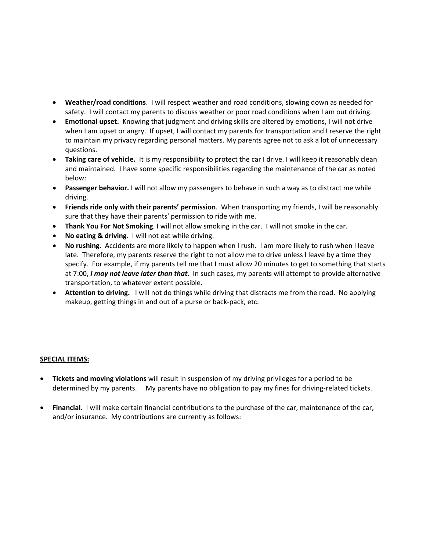- **Weather/road conditions**. I will respect weather and road conditions, slowing down as needed for safety. I will contact my parents to discuss weather or poor road conditions when I am out driving.
- **Emotional upset.** Knowing that judgment and driving skills are altered by emotions, I will not drive when I am upset or angry. If upset, I will contact my parents for transportation and I reserve the right to maintain my privacy regarding personal matters. My parents agree not to ask a lot of unnecessary questions.
- **Taking care of vehicle.** It is my responsibility to protect the car I drive. I will keep it reasonably clean and maintained. I have some specific responsibilities regarding the maintenance of the car as noted below:
- **Passenger behavior.** I will not allow my passengers to behave in such a way as to distract me while driving.
- **Friends ride only with their parents' permission**. When transporting my friends, I will be reasonably sure that they have their parents' permission to ride with me.
- **Thank You For Not Smoking**. I will not allow smoking in the car. I will not smoke in the car.
- **No eating & driving**. I will not eat while driving.
- **No rushing**. Accidents are more likely to happen when I rush. I am more likely to rush when I leave late. Therefore, my parents reserve the right to not allow me to drive unless I leave by a time they specify. For example, if my parents tell me that I must allow 20 minutes to get to something that starts at 7:00, *I may not leave later than that*. In such cases, my parents will attempt to provide alternative transportation, to whatever extent possible.
- **Attention to driving.** I will not do things while driving that distracts me from the road. No applying makeup, getting things in and out of a purse or back‐pack, etc.

## **SPECIAL ITEMS:**

- **Tickets and moving violations** will result in suspension of my driving privileges for a period to be determined by my parents. My parents have no obligation to pay my fines for driving-related tickets.
- **Financial**. I will make certain financial contributions to the purchase of the car, maintenance of the car, and/or insurance. My contributions are currently as follows: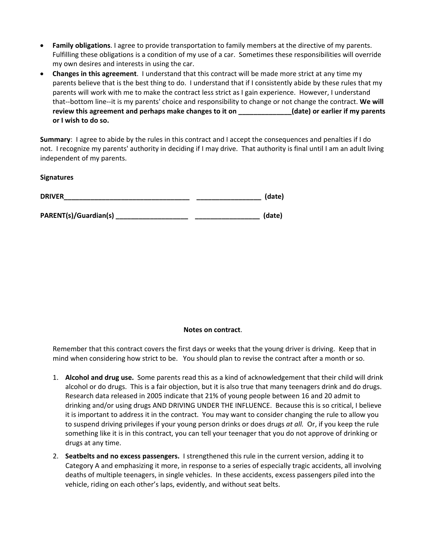- **Family obligations**. I agree to provide transportation to family members at the directive of my parents. Fulfilling these obligations is a condition of my use of a car. Sometimes these responsibilities will override my own desires and interests in using the car.
- **Changes in this agreement**. I understand that this contract will be made more strict at any time my parents believe that is the best thing to do. I understand that if I consistently abide by these rules that my parents will work with me to make the contract less strict as I gain experience. However, I understand that‐‐bottom line‐‐it is my parents' choice and responsibility to change or not change the contract. **We will review this agreement and perhaps make changes to it on \_\_\_\_\_\_\_\_\_\_\_\_\_\_(date) or earlier if my parents or I wish to do so.**

**Summary**: I agree to abide by the rules in this contract and I accept the consequences and penalties if I do not. I recognize my parents' authority in deciding if I may drive. That authority is final until I am an adult living independent of my parents.

**Signatures**

| <b>DRIVER</b> | (date, |
|---------------|--------|
|               |        |

**PARENT(s)/Guardian(s) \_\_\_\_\_\_\_\_\_\_\_\_\_\_\_\_\_\_\_ \_\_\_\_\_\_\_\_\_\_\_\_\_\_\_\_\_ (date)**

## **Notes on contract**.

Remember that this contract covers the first days or weeks that the young driver is driving. Keep that in mind when considering how strict to be. You should plan to revise the contract after a month or so.

- 1. **Alcohol and drug use.** Some parents read this as a kind of acknowledgement that their child will drink alcohol or do drugs. This is a fair objection, but it is also true that many teenagers drink and do drugs. Research data released in 2005 indicate that 21% of young people between 16 and 20 admit to drinking and/or using drugs AND DRIVING UNDER THE INFLUENCE. Because this is so critical, I believe it is important to address it in the contract. You may want to consider changing the rule to allow you to suspend driving privileges if your young person drinks or does drugs *at all.* Or, if you keep the rule something like it is in this contract, you can tell your teenager that you do not approve of drinking or drugs at any time.
- 2. **Seatbelts and no excess passengers.** I strengthened this rule in the current version, adding it to Category A and emphasizing it more, in response to a series of especially tragic accidents, all involving deaths of multiple teenagers, in single vehicles. In these accidents, excess passengers piled into the vehicle, riding on each other's laps, evidently, and without seat belts.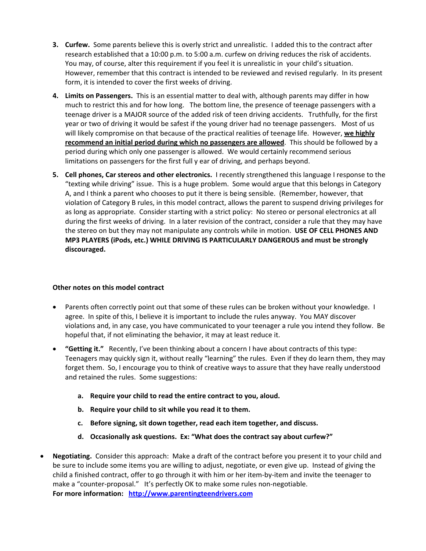- **3. Curfew.** Some parents believe this is overly strict and unrealistic. I added this to the contract after research established that a 10:00 p.m. to 5:00 a.m. curfew on driving reduces the risk of accidents. You may, of course, alter this requirement if you feel it is unrealistic in your child's situation. However, remember that this contract is intended to be reviewed and revised regularly. In its present form, it is intended to cover the first weeks of driving.
- **4. Limits on Passengers.** This is an essential matter to deal with, although parents may differ in how much to restrict this and for how long. The bottom line, the presence of teenage passengers with a teenage driver is a MAJOR source of the added risk of teen driving accidents. Truthfully, for the first year or two of driving it would be safest if the young driver had no teenage passengers. Most of us will likely compromise on that because of the practical realities of teenage life. However, **we highly recommend an initial period during which no passengers are allowed**. This should be followed by a period during which only one passenger is allowed. We would certainly recommend serious limitations on passengers for the first full y ear of driving, and perhaps beyond.
- **5. Cell phones, Car stereos and other electronics.** I recently strengthened this language I response to the "texting while driving" issue. This is a huge problem. Some would argue that this belongs in Category A, and I think a parent who chooses to put it there is being sensible. (Remember, however, that violation of Category B rules, in this model contract, allows the parent to suspend driving privileges for as long as appropriate. Consider starting with a strict policy: No stereo or personal electronics at all during the first weeks of driving. In a later revision of the contract, consider a rule that they may have the stereo on but they may not manipulate any controls while in motion. **USE OF CELL PHONES AND MP3 PLAYERS (iPods, etc.) WHILE DRIVING IS PARTICULARLY DANGEROUS and must be strongly discouraged.**

## **Other notes on this model contract**

- Parents often correctly point out that some of these rules can be broken without your knowledge. I agree. In spite of this, I believe it is important to include the rules anyway. You MAY discover violations and, in any case, you have communicated to your teenager a rule you intend they follow. Be hopeful that, if not eliminating the behavior, it may at least reduce it.
- **"Getting it."** Recently, I've been thinking about a concern I have about contracts of this type: Teenagers may quickly sign it, without really "learning" the rules. Even if they do learn them, they may forget them. So, I encourage you to think of creative ways to assure that they have really understood and retained the rules. Some suggestions:
	- **a. Require your child to read the entire contract to you, aloud.**
	- **b. Require your child to sit while you read it to them.**
	- **c. Before signing, sit down together, read each item together, and discuss.**
	- **d. Occasionally ask questions. Ex: "What does the contract say about curfew?"**
- **Negotiating.** Consider this approach: Make a draft of the contract before you present it to your child and be sure to include some items you are willing to adjust, negotiate, or even give up. Instead of giving the child a finished contract, offer to go through it with him or her item‐by‐item and invite the teenager to make a "counter-proposal." It's perfectly OK to make some rules non-negotiable. **For more information: [http://www.parentingteendrivers.com](http://www.parentingteendrivers.com/)**